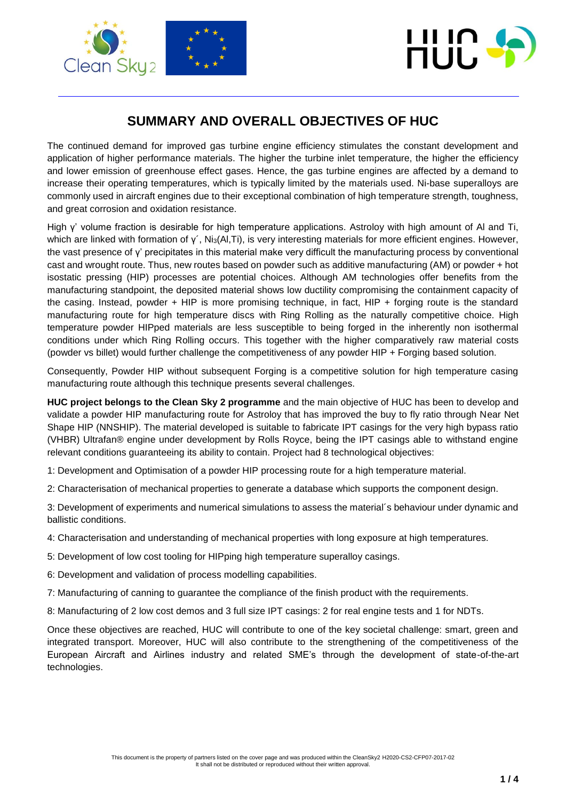



## **SUMMARY AND OVERALL OBJECTIVES OF HUC**

The continued demand for improved gas turbine engine efficiency stimulates the constant development and application of higher performance materials. The higher the turbine inlet temperature, the higher the efficiency and lower emission of greenhouse effect gases. Hence, the gas turbine engines are affected by a demand to increase their operating temperatures, which is typically limited by the materials used. Ni-base superalloys are commonly used in aircraft engines due to their exceptional combination of high temperature strength, toughness, and great corrosion and oxidation resistance.

High γ' volume fraction is desirable for high temperature applications. Astroloy with high amount of Al and Ti, which are linked with formation of γ΄, Ni<sub>3</sub>(Al,Ti), is very interesting materials for more efficient engines. However, the vast presence of γ' precipitates in this material make very difficult the manufacturing process by conventional cast and wrought route. Thus, new routes based on powder such as additive manufacturing (AM) or powder + hot isostatic pressing (HIP) processes are potential choices. Although AM technologies offer benefits from the manufacturing standpoint, the deposited material shows low ductility compromising the containment capacity of the casing. Instead, powder + HIP is more promising technique, in fact, HIP + forging route is the standard manufacturing route for high temperature discs with Ring Rolling as the naturally competitive choice. High temperature powder HIPped materials are less susceptible to being forged in the inherently non isothermal conditions under which Ring Rolling occurs. This together with the higher comparatively raw material costs (powder vs billet) would further challenge the competitiveness of any powder HIP + Forging based solution.

Consequently, Powder HIP without subsequent Forging is a competitive solution for high temperature casing manufacturing route although this technique presents several challenges.

**HUC project belongs to the Clean Sky 2 programme** and the main objective of HUC has been to develop and validate a powder HIP manufacturing route for Astroloy that has improved the buy to fly ratio through Near Net Shape HIP (NNSHIP). The material developed is suitable to fabricate IPT casings for the very high bypass ratio (VHBR) Ultrafan® engine under development by Rolls Royce, being the IPT casings able to withstand engine relevant conditions guaranteeing its ability to contain. Project had 8 technological objectives:

1: Development and Optimisation of a powder HIP processing route for a high temperature material.

2: Characterisation of mechanical properties to generate a database which supports the component design.

3: Development of experiments and numerical simulations to assess the material´s behaviour under dynamic and ballistic conditions.

4: Characterisation and understanding of mechanical properties with long exposure at high temperatures.

- 5: Development of low cost tooling for HIPping high temperature superalloy casings.
- 6: Development and validation of process modelling capabilities.

7: Manufacturing of canning to guarantee the compliance of the finish product with the requirements.

8: Manufacturing of 2 low cost demos and 3 full size IPT casings: 2 for real engine tests and 1 for NDTs.

Once these objectives are reached, HUC will contribute to one of the key societal challenge: smart, green and integrated transport. Moreover, HUC will also contribute to the strengthening of the competitiveness of the European Aircraft and Airlines industry and related SME's through the development of state-of-the-art technologies.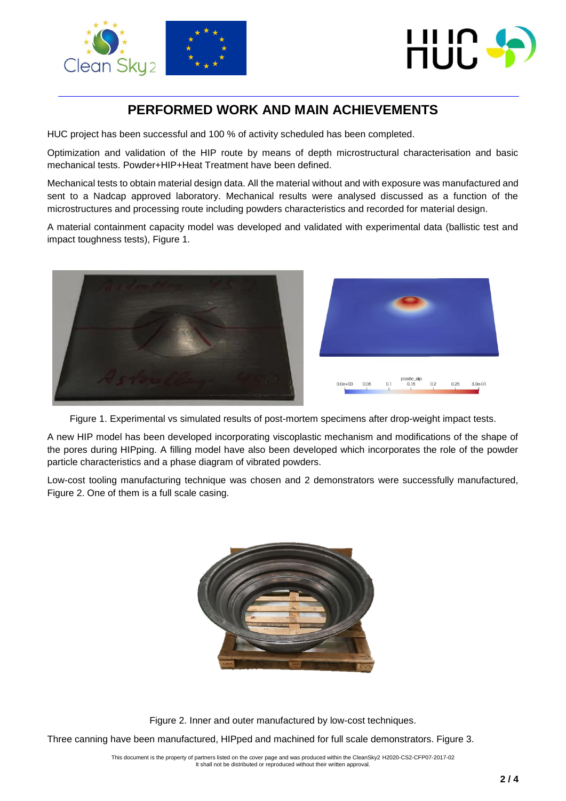



## **PERFORMED WORK AND MAIN ACHIEVEMENTS**

HUC project has been successful and 100 % of activity scheduled has been completed.

Optimization and validation of the HIP route by means of depth microstructural characterisation and basic mechanical tests. Powder+HIP+Heat Treatment have been defined.

Mechanical tests to obtain material design data. All the material without and with exposure was manufactured and sent to a Nadcap approved laboratory. Mechanical results were analysed discussed as a function of the microstructures and processing route including powders characteristics and recorded for material design.

A material containment capacity model was developed and validated with experimental data (ballistic test and impact toughness tests), Figure 1.



Figure 1. Experimental vs simulated results of post-mortem specimens after drop-weight impact tests.

A new HIP model has been developed incorporating viscoplastic mechanism and modifications of the shape of the pores during HIPping. A filling model have also been developed which incorporates the role of the powder particle characteristics and a phase diagram of vibrated powders.

Low-cost tooling manufacturing technique was chosen and 2 demonstrators were successfully manufactured, Figure 2. One of them is a full scale casing.



Figure 2. Inner and outer manufactured by low-cost techniques.

Three canning have been manufactured, HIPped and machined for full scale demonstrators. Figure 3.

This document is the property of partners listed on the cover page and was produced within the CleanSky2 H2020-CS2-CFP07-2017-02 It shall not be distributed or reproduced without their written approval.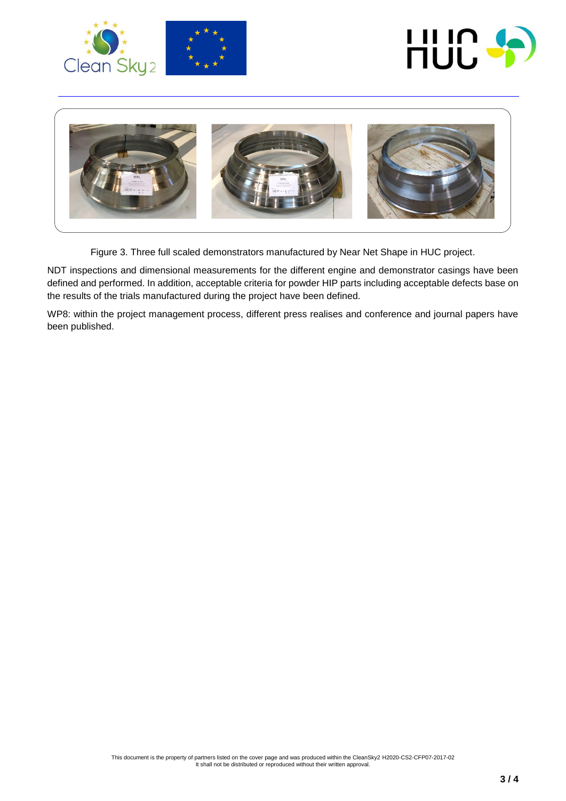





Figure 3. Three full scaled demonstrators manufactured by Near Net Shape in HUC project. **WP6 (ENGINE 1 – ENGINE 2 – ENGINE 3)**

NDT inspections and dimensional measurements for the different engine and demonstrator casings have been defined and performed. In addition, acceptable criteria for powder HIP parts including acceptable defects base on the results of the trials manufactured during the project have been defined.

WP8: within the project management process, different press realises and conference and journal papers have been published.